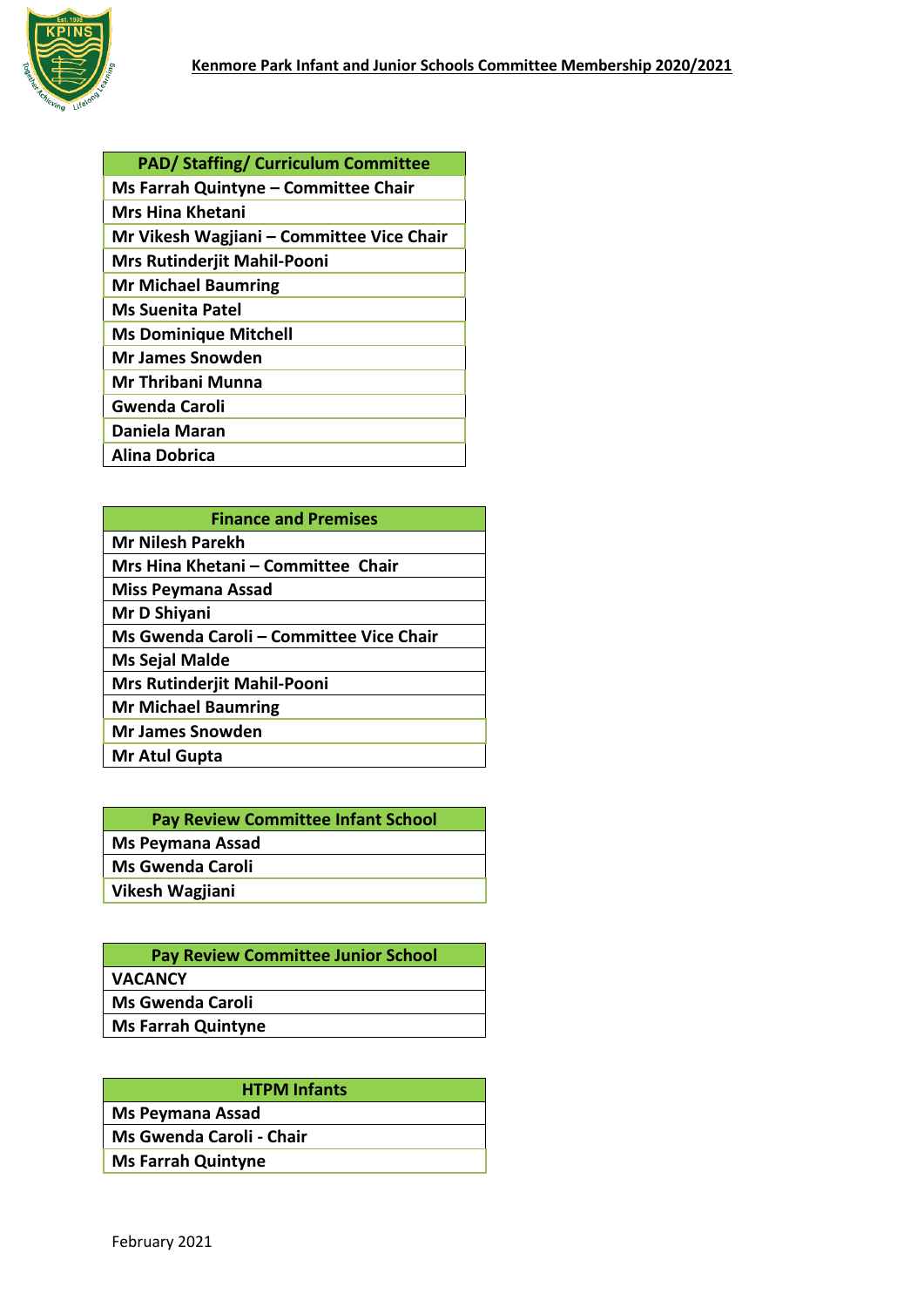

| <b>PAD/ Staffing/ Curriculum Committee</b> |
|--------------------------------------------|
| Ms Farrah Quintyne - Committee Chair       |
| Mrs Hina Khetani                           |
| Mr Vikesh Wagjiani – Committee Vice Chair  |
| <b>Mrs Rutinderjit Mahil-Pooni</b>         |
| <b>Mr Michael Baumring</b>                 |
| <b>Ms Suenita Patel</b>                    |
| <b>Ms Dominique Mitchell</b>               |
| <b>Mr James Snowden</b>                    |
| Mr Thribani Munna                          |
| <b>Gwenda Caroli</b>                       |
| Daniela Maran                              |
| Alina Dobrica                              |

| <b>Finance and Premises</b>             |
|-----------------------------------------|
| <b>Mr Nilesh Parekh</b>                 |
| Mrs Hina Khetani - Committee Chair      |
| <b>Miss Peymana Assad</b>               |
| Mr D Shiyani                            |
| Ms Gwenda Caroli - Committee Vice Chair |
| <b>Ms Sejal Malde</b>                   |
| <b>Mrs Rutinderjit Mahil-Pooni</b>      |
| <b>Mr Michael Baumring</b>              |
| <b>Mr James Snowden</b>                 |
| Mr Atul Gupta                           |

| <b>Pay Review Committee Infant School</b> |
|-------------------------------------------|
| <b>Ms Peymana Assad</b>                   |
| <b>Ms Gwenda Caroli</b>                   |
| Vikesh Wagjiani                           |
|                                           |

| <b>Pay Review Committee Junior School</b> |
|-------------------------------------------|
| <b>VACANCY</b>                            |
| <b>Ms Gwenda Caroli</b>                   |
| <b>Ms Farrah Quintyne</b>                 |
|                                           |

| <b>HTPM Infants</b>       |
|---------------------------|
| <b>Ms Peymana Assad</b>   |
| Ms Gwenda Caroli - Chair  |
| <b>Ms Farrah Quintyne</b> |